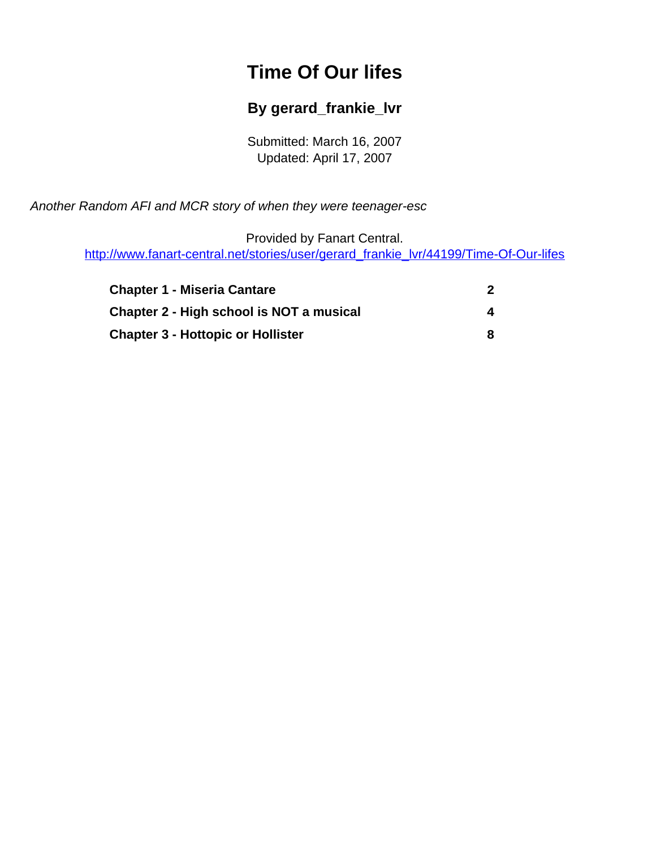# **Time Of Our lifes**

#### **By gerard\_frankie\_lvr**

Submitted: March 16, 2007 Updated: April 17, 2007

<span id="page-0-0"></span>Another Random AFI and MCR story of when they were teenager-esc

Provided by Fanart Central. [http://www.fanart-central.net/stories/user/gerard\\_frankie\\_lvr/44199/Time-Of-Our-lifes](#page-0-0)

| <b>Chapter 1 - Miseria Cantare</b>       |   |
|------------------------------------------|---|
| Chapter 2 - High school is NOT a musical | 4 |
| <b>Chapter 3 - Hottopic or Hollister</b> |   |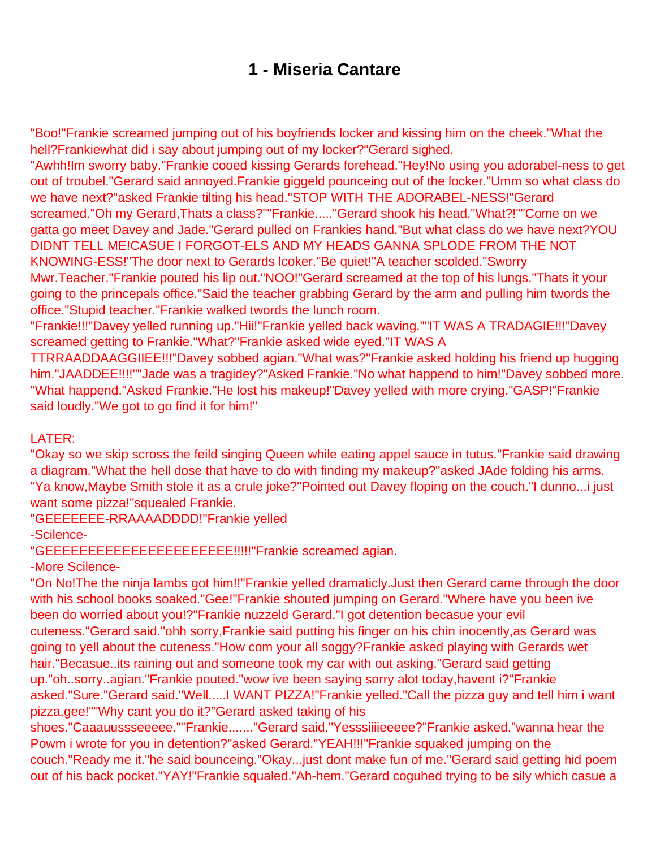#### **1 - Miseria Cantare**

<span id="page-1-0"></span>"Boo!"Frankie screamed jumping out of his boyfriends locker and kissing him on the cheek."What the hell?Frankiewhat did i say about jumping out of my locker?"Gerard sighed.

"Awhh!Im sworry baby."Frankie cooed kissing Gerards forehead."Hey!No using you adorabel-ness to get out of troubel."Gerard said annoyed.Frankie giggeld pounceing out of the locker."Umm so what class do we have next?"asked Frankie tilting his head."STOP WITH THE ADORABEL-NESS!"Gerard screamed."Oh my Gerard,Thats a class?""Frankie....."Gerard shook his head."What?!""Come on we gatta go meet Davey and Jade."Gerard pulled on Frankies hand."But what class do we have next?YOU DIDNT TELL ME!CASUE I FORGOT-ELS AND MY HEADS GANNA SPLODE FROM THE NOT KNOWING-ESS!"The door next to Gerards lcoker."Be quiet!"A teacher scolded."Sworry Mwr.Teacher."Frankie pouted his lip out."NOO!"Gerard screamed at the top of his lungs."Thats it your going to the princepals office."Said the teacher grabbing Gerard by the arm and pulling him twords the office."Stupid teacher."Frankie walked twords the lunch room.

"Frankie!!!"Davey yelled running up."Hii!"Frankie yelled back waving.""IT WAS A TRADAGIE!!!"Davey screamed getting to Frankie."What?"Frankie asked wide eyed."IT WAS A

TTRRAADDAAGGIIEE!!!"Davey sobbed agian."What was?"Frankie asked holding his friend up hugging him."JAADDEE!!!!""Jade was a tragidey?"Asked Frankie."No what happend to him!"Davey sobbed more. "What happend."Asked Frankie."He lost his makeup!"Davey yelled with more crying."GASP!"Frankie said loudly."We got to go find it for him!"

LATER:

"Okay so we skip scross the feild singing Queen while eating appel sauce in tutus."Frankie said drawing a diagram."What the hell dose that have to do with finding my makeup?"asked JAde folding his arms. "Ya know,Maybe Smith stole it as a crule joke?"Pointed out Davey floping on the couch."I dunno...i just want some pizza!"squealed Frankie.

"GEEEEEEE-RRAAAADDDD!"Frankie yelled

-Scilence-

"GEEEEEEEEEEEEEEEEEEEEEE!!!!!"Frankie screamed agian.

-More Scilence-

"On No!The the ninja lambs got him!!"Frankie yelled dramaticly.Just then Gerard came through the door with his school books soaked."Gee!"Frankie shouted jumping on Gerard."Where have you been ive been do worried about you!?"Frankie nuzzeld Gerard."I got detention becasue your evil cuteness."Gerard said."ohh sorry,Frankie said putting his finger on his chin inocently,as Gerard was going to yell about the cuteness."How com your all soggy?Frankie asked playing with Gerards wet hair."Becasue..its raining out and someone took my car with out asking."Gerard said getting up."oh..sorry..agian."Frankie pouted."wow ive been saying sorry alot today,havent i?"Frankie asked."Sure."Gerard said."Well.....I WANT PIZZA!"Frankie yelled."Call the pizza guy and tell him i want pizza,gee!""Why cant you do it?"Gerard asked taking of his

shoes."Caaauussseeeee.""Frankie......."Gerard said."Yesssiiiieeeee?"Frankie asked."wanna hear the Powm i wrote for you in detention?"asked Gerard."YEAH!!!"Frankie squaked jumping on the couch."Ready me it."he said bounceing."Okay...just dont make fun of me."Gerard said getting hid poem out of his back pocket."YAY!"Frankie squaled."Ah-hem."Gerard coguhed trying to be sily which casue a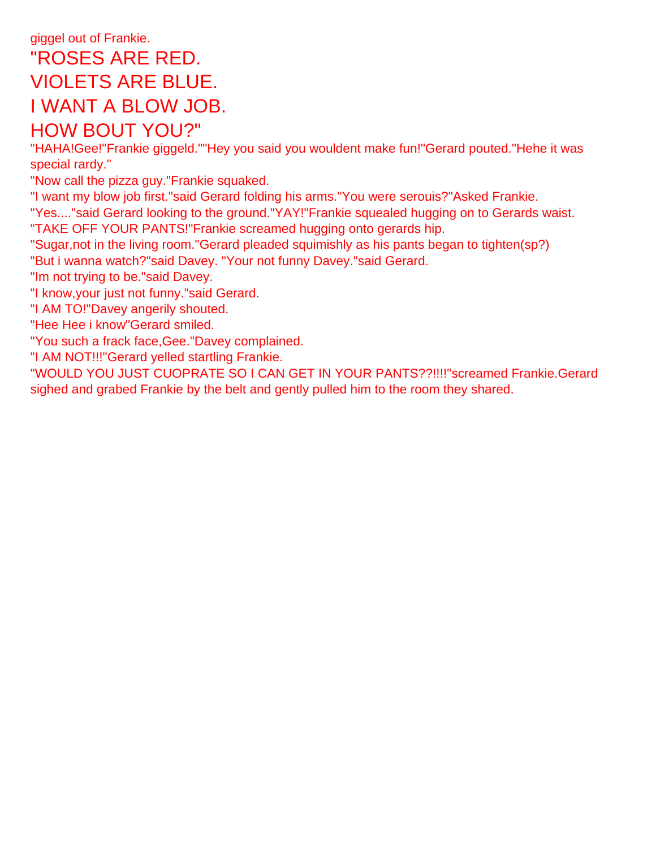# giggel out of Frankie. "ROSES ARE RED. VIOLETS ARE BLUE. I WANT A BLOW JOB. HOW BOUT YOU?"

"HAHA!Gee!"Frankie giggeld.""Hey you said you wouldent make fun!"Gerard pouted."Hehe it was special rardy."

"Now call the pizza guy."Frankie squaked.

"I want my blow job first."said Gerard folding his arms."You were serouis?"Asked Frankie.

"Yes...."said Gerard looking to the ground."YAY!"Frankie squealed hugging on to Gerards waist. "TAKE OFF YOUR PANTS!"Frankie screamed hugging onto gerards hip.

"Sugar,not in the living room."Gerard pleaded squimishly as his pants began to tighten(sp?)

"But i wanna watch?"said Davey. "Your not funny Davey."said Gerard.

"Im not trying to be."said Davey.

"I know,your just not funny."said Gerard.

"I AM TO!"Davey angerily shouted.

"Hee Hee i know"Gerard smiled.

"You such a frack face,Gee."Davey complained.

"I AM NOT!!!"Gerard yelled startling Frankie.

"WOULD YOU JUST CUOPRATE SO I CAN GET IN YOUR PANTS??!!!!"screamed Frankie.Gerard sighed and grabed Frankie by the belt and gently pulled him to the room they shared.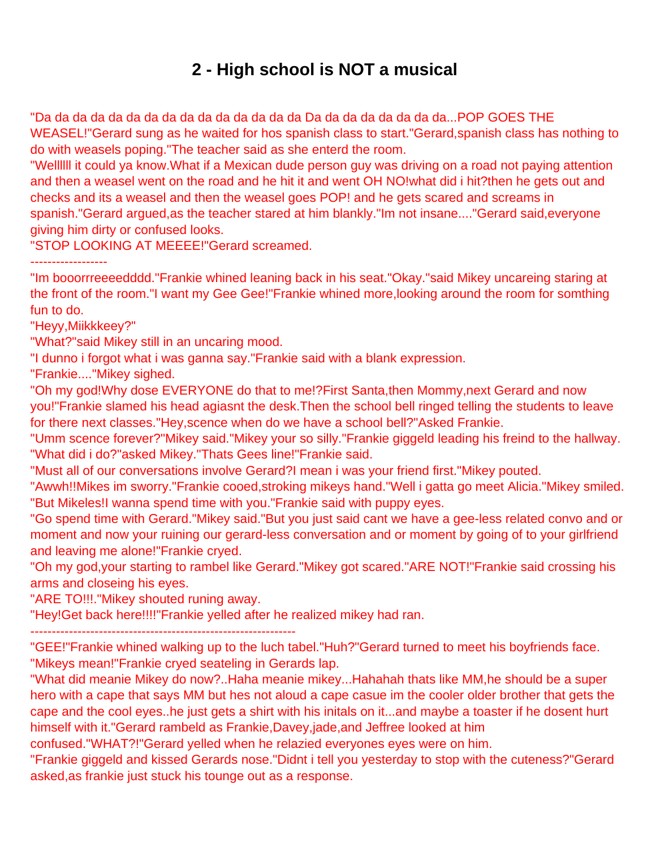## **2 - High school is NOT a musical**

<span id="page-3-0"></span>"Da da da da da da da da da da da da da da da Da da da da da da da da...POP GOES THE WEASEL!"Gerard sung as he waited for hos spanish class to start."Gerard,spanish class has nothing to do with weasels poping."The teacher said as she enterd the room.

"Wellllll it could ya know.What if a Mexican dude person guy was driving on a road not paying attention and then a weasel went on the road and he hit it and went OH NO!what did i hit?then he gets out and checks and its a weasel and then the weasel goes POP! and he gets scared and screams in spanish."Gerard argued,as the teacher stared at him blankly."Im not insane...."Gerard said,everyone giving him dirty or confused looks.

"STOP LOOKING AT MEEEE!"Gerard screamed.

------------------

"Im booorrreeeedddd."Frankie whined leaning back in his seat."Okay."said Mikey uncareing staring at the front of the room."I want my Gee Gee!"Frankie whined more,looking around the room for somthing fun to do.

"Heyy,Miikkkeey?"

"What?"said Mikey still in an uncaring mood.

"I dunno i forgot what i was ganna say."Frankie said with a blank expression.

"Frankie...."Mikey sighed.

"Oh my god!Why dose EVERYONE do that to me!?First Santa,then Mommy,next Gerard and now you!"Frankie slamed his head agiasnt the desk.Then the school bell ringed telling the students to leave for there next classes."Hey,scence when do we have a school bell?"Asked Frankie.

"Umm scence forever?"Mikey said."Mikey your so silly."Frankie giggeld leading his freind to the hallway. "What did i do?"asked Mikey."Thats Gees line!"Frankie said.

"Must all of our conversations involve Gerard?I mean i was your friend first."Mikey pouted.

"Awwh!!Mikes im sworry."Frankie cooed,stroking mikeys hand."Well i gatta go meet Alicia."Mikey smiled. "But Mikeles!I wanna spend time with you."Frankie said with puppy eyes.

"Go spend time with Gerard."Mikey said."But you just said cant we have a gee-less related convo and or moment and now your ruining our gerard-less conversation and or moment by going of to your girlfriend and leaving me alone!"Frankie cryed.

"Oh my god,your starting to rambel like Gerard."Mikey got scared."ARE NOT!"Frankie said crossing his arms and closeing his eyes.

"ARE TO!!!."Mikey shouted runing away.

"Hey!Get back here!!!!"Frankie yelled after he realized mikey had ran.

--------------------------------------------------------------

"GEE!"Frankie whined walking up to the luch tabel."Huh?"Gerard turned to meet his boyfriends face. "Mikeys mean!"Frankie cryed seateling in Gerards lap.

"What did meanie Mikey do now?..Haha meanie mikey...Hahahah thats like MM,he should be a super hero with a cape that says MM but hes not aloud a cape casue im the cooler older brother that gets the cape and the cool eyes..he just gets a shirt with his initals on it...and maybe a toaster if he dosent hurt himself with it."Gerard rambeld as Frankie,Davey,jade,and Jeffree looked at him

confused."WHAT?!"Gerard yelled when he relazied everyones eyes were on him.

"Frankie giggeld and kissed Gerards nose."Didnt i tell you yesterday to stop with the cuteness?"Gerard asked,as frankie just stuck his tounge out as a response.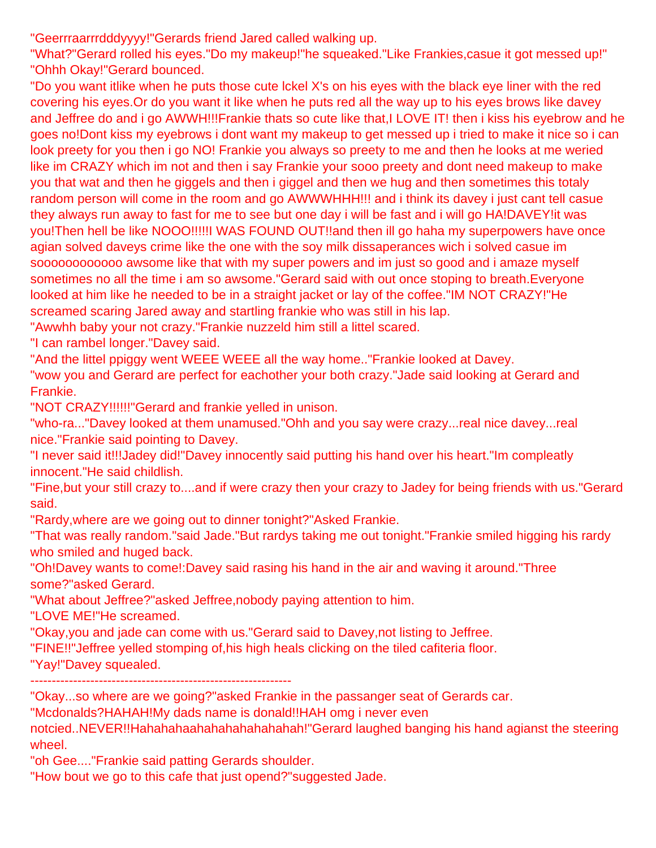"Geerrraarrrdddyyyy!"Gerards friend Jared called walking up.

"What?"Gerard rolled his eyes."Do my makeup!"he squeaked."Like Frankies,casue it got messed up!" "Ohhh Okay!"Gerard bounced.

"Do you want itlike when he puts those cute lckel X's on his eyes with the black eye liner with the red covering his eyes.Or do you want it like when he puts red all the way up to his eyes brows like davey and Jeffree do and i go AWWH!!!Frankie thats so cute like that,I LOVE IT! then i kiss his eyebrow and he goes no!Dont kiss my eyebrows i dont want my makeup to get messed up i tried to make it nice so i can look preety for you then i go NO! Frankie you always so preety to me and then he looks at me weried like im CRAZY which im not and then i say Frankie your sooo preety and dont need makeup to make you that wat and then he giggels and then i giggel and then we hug and then sometimes this totaly random person will come in the room and go AWWWHHH!!! and i think its davey i just cant tell casue they always run away to fast for me to see but one day i will be fast and i will go HA!DAVEY!it was you!Then hell be like NOOO!!!!!I WAS FOUND OUT!!and then ill go haha my superpowers have once agian solved daveys crime like the one with the soy milk dissaperances wich i solved casue im soooooooooooo awsome like that with my super powers and im just so good and i amaze myself sometimes no all the time i am so awsome."Gerard said with out once stoping to breath.Everyone looked at him like he needed to be in a straight jacket or lay of the coffee."IM NOT CRAZY!"He screamed scaring Jared away and startling frankie who was still in his lap.

"Awwhh baby your not crazy."Frankie nuzzeld him still a littel scared.

"I can rambel longer."Davey said.

"And the littel ppiggy went WEEE WEEE all the way home.."Frankie looked at Davey.

"wow you and Gerard are perfect for eachother your both crazy."Jade said looking at Gerard and Frankie.

"NOT CRAZY!!!!!!"Gerard and frankie yelled in unison.

"who-ra..."Davey looked at them unamused."Ohh and you say were crazy...real nice davey...real nice."Frankie said pointing to Davey.

"I never said it!!!Jadey did!"Davey innocently said putting his hand over his heart."Im compleatly innocent."He said childlish.

"Fine,but your still crazy to....and if were crazy then your crazy to Jadey for being friends with us."Gerard said.

"Rardy,where are we going out to dinner tonight?"Asked Frankie.

"That was really random."said Jade."But rardys taking me out tonight."Frankie smiled higging his rardy who smiled and huged back.

"Oh!Davey wants to come!:Davey said rasing his hand in the air and waving it around."Three some?"asked Gerard.

"What about Jeffree?"asked Jeffree,nobody paying attention to him.

"LOVE ME!"He screamed.

"Okay,you and jade can come with us."Gerard said to Davey,not listing to Jeffree.

"FINE!!"Jeffree yelled stomping of,his high heals clicking on the tiled cafiteria floor.

"Yay!"Davey squealed.

-------------------------------------------------------------

"Okay...so where are we going?"asked Frankie in the passanger seat of Gerards car.

"Mcdonalds?HAHAH!My dads name is donald!!HAH omg i never even

notcied..NEVER!!Hahahahaahahahahahahahah!"Gerard laughed banging his hand agianst the steering wheel.

"oh Gee...."Frankie said patting Gerards shoulder.

"How bout we go to this cafe that just opend?"suggested Jade.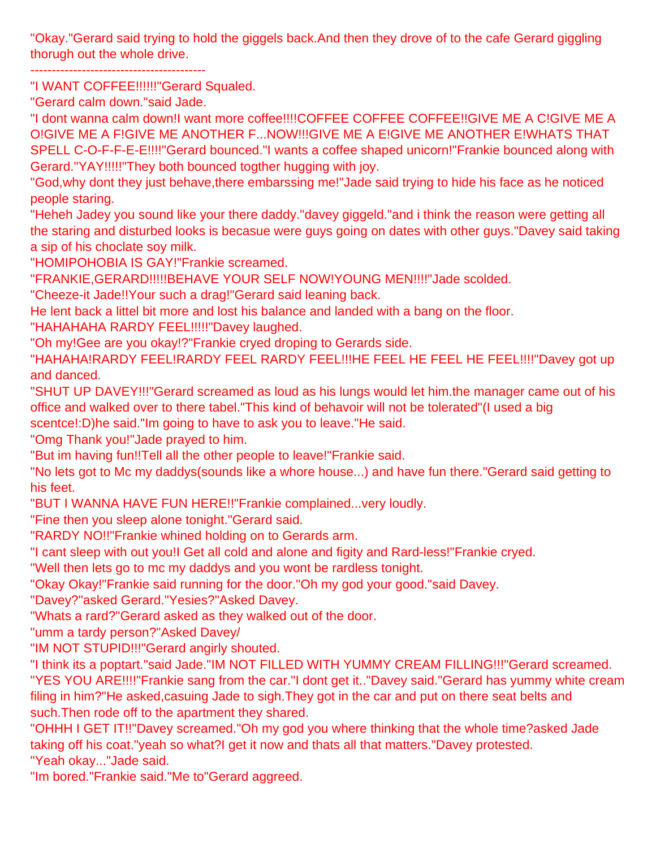"Okay."Gerard said trying to hold the giggels back.And then they drove of to the cafe Gerard giggling thorugh out the whole drive.

"I WANT COFFEE!!!!!!"Gerard Squaled.

"Gerard calm down."said Jade.

"I dont wanna calm down!I want more coffee!!!!COFFEE COFFEE COFFEE!!GIVE ME A C!GIVE ME A O!GIVE ME A F!GIVE ME ANOTHER F...NOW!!!GIVE ME A E!GIVE ME ANOTHER E!WHATS THAT SPELL C-O-F-F-E-E!!!!"Gerard bounced."I wants a coffee shaped unicorn!"Frankie bounced along with Gerard."YAY!!!!!"They both bounced togther hugging with joy.

"God,why dont they just behave,there embarssing me!"Jade said trying to hide his face as he noticed people staring.

"Heheh Jadey you sound like your there daddy."davey giggeld."and i think the reason were getting all the staring and disturbed looks is becasue were guys going on dates with other guys."Davey said taking a sip of his choclate soy milk.

"HOMIPOHOBIA IS GAY!"Frankie screamed.

"FRANKIE,GERARD!!!!!BEHAVE YOUR SELF NOW!YOUNG MEN!!!!"Jade scolded.

"Cheeze-it Jade!!Your such a drag!"Gerard said leaning back.

He lent back a littel bit more and lost his balance and landed with a bang on the floor.

"HAHAHAHA RARDY FEEL!!!!!"Davey laughed.

"Oh my!Gee are you okay!?"Frankie cryed droping to Gerards side.

"HAHAHA!RARDY FEEL!RARDY FEEL RARDY FEEL!!!HE FEEL HE FEEL HE FEEL!!!!"Davey got up and danced.

"SHUT UP DAVEY!!!"Gerard screamed as loud as his lungs would let him.the manager came out of his office and walked over to there tabel."This kind of behavoir will not be tolerated"(I used a big

scentce!:D)he said."Im going to have to ask you to leave."He said.

"Omg Thank you!"Jade prayed to him.

"But im having fun!!Tell all the other people to leave!"Frankie said.

"No lets got to Mc my daddys(sounds like a whore house...) and have fun there."Gerard said getting to his feet.

"BUT I WANNA HAVE FUN HERE!!"Frankie complained...very loudly.

"Fine then you sleep alone tonight."Gerard said.

"RARDY NO!!"Frankie whined holding on to Gerards arm.

"I cant sleep with out you!I Get all cold and alone and figity and Rard-less!"Frankie cryed.

"Well then lets go to mc my daddys and you wont be rardless tonight.

"Okay Okay!"Frankie said running for the door."Oh my god your good."said Davey.

"Davey?"asked Gerard."Yesies?"Asked Davey.

"Whats a rard?"Gerard asked as they walked out of the door.

"umm a tardy person?"Asked Davey/

"IM NOT STUPID!!!"Gerard angirly shouted.

"I think its a poptart."said Jade."IM NOT FILLED WITH YUMMY CREAM FILLING!!!"Gerard screamed. "YES YOU ARE!!!!"Frankie sang from the car."I dont get it.."Davey said."Gerard has yummy white cream filing in him?"He asked,casuing Jade to sigh.They got in the car and put on there seat belts and such.Then rode off to the apartment they shared.

"OHHH I GET IT!!"Davey screamed."Oh my god you where thinking that the whole time?asked Jade taking off his coat."yeah so what?I get it now and thats all that matters."Davey protested. "Yeah okay..."Jade said.

"Im bored."Frankie said."Me to"Gerard aggreed.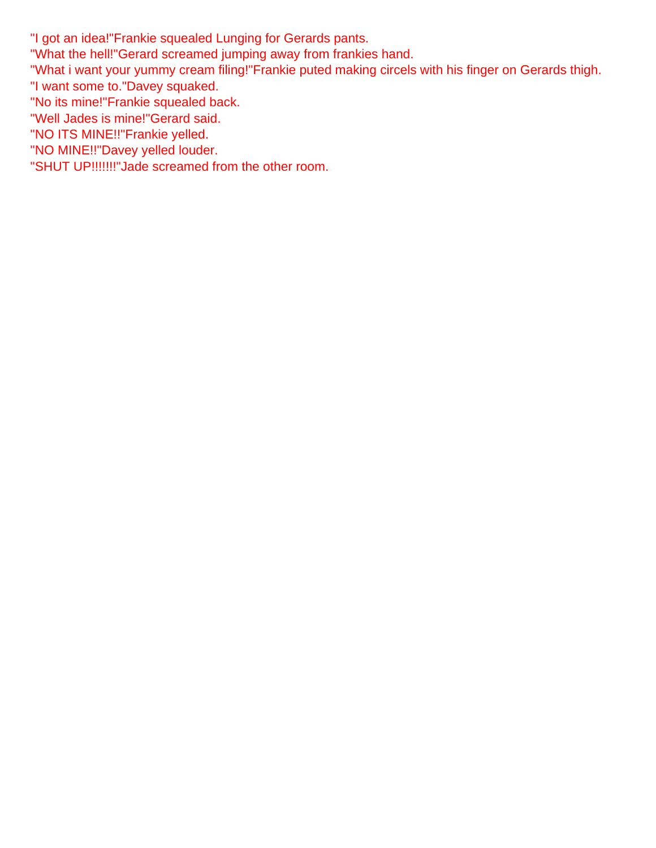"I got an idea!"Frankie squealed Lunging for Gerards pants.

"What the hell!"Gerard screamed jumping away from frankies hand.

"What i want your yummy cream filing!"Frankie puted making circels with his finger on Gerards thigh.

- "I want some to."Davey squaked.
- "No its mine!"Frankie squealed back.
- "Well Jades is mine!"Gerard said.
- "NO ITS MINE!!"Frankie yelled.
- "NO MINE!!"Davey yelled louder.
- "SHUT UP!!!!!!!"Jade screamed from the other room.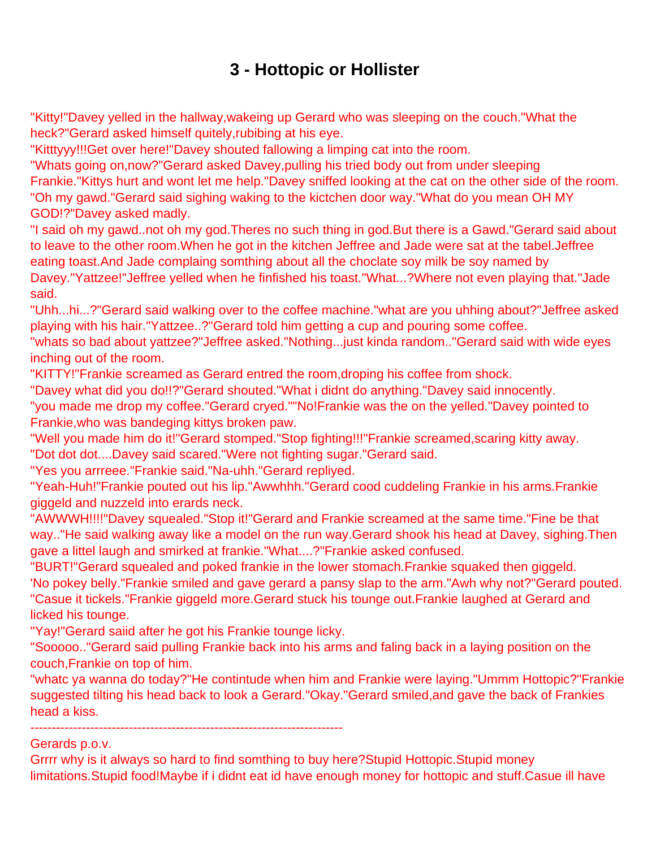## **3 - Hottopic or Hollister**

<span id="page-7-0"></span>"Kitty!"Davey yelled in the hallway,wakeing up Gerard who was sleeping on the couch."What the heck?"Gerard asked himself quitely,rubibing at his eye.

"Kitttyyy!!!Get over here!"Davey shouted fallowing a limping cat into the room.

"Whats going on,now?"Gerard asked Davey,pulling his tried body out from under sleeping Frankie."Kittys hurt and wont let me help."Davey sniffed looking at the cat on the other side of the room. "Oh my gawd."Gerard said sighing waking to the kictchen door way."What do you mean OH MY GOD!?"Davey asked madly.

"I said oh my gawd..not oh my god.Theres no such thing in god.But there is a Gawd."Gerard said about to leave to the other room.When he got in the kitchen Jeffree and Jade were sat at the tabel.Jeffree eating toast.And Jade complaing somthing about all the choclate soy milk be soy named by Davey."Yattzee!"Jeffree yelled when he finfished his toast."What...?Where not even playing that."Jade said.

"Uhh...hi...?"Gerard said walking over to the coffee machine."what are you uhhing about?"Jeffree asked playing with his hair."Yattzee..?"Gerard told him getting a cup and pouring some coffee.

"whats so bad about yattzee?"Jeffree asked."Nothing...just kinda random.."Gerard said with wide eyes inching out of the room.

"KITTY!"Frankie screamed as Gerard entred the room,droping his coffee from shock.

"Davey what did you do!!?"Gerard shouted."What i didnt do anything."Davey said innocently.

"you made me drop my coffee."Gerard cryed.""No!Frankie was the on the yelled."Davey pointed to Frankie,who was bandeging kittys broken paw.

"Well you made him do it!"Gerard stomped."Stop fighting!!!"Frankie screamed,scaring kitty away. "Dot dot dot....Davey said scared."Were not fighting sugar."Gerard said.

"Yes you arrreee."Frankie said."Na-uhh."Gerard repliyed.

"Yeah-Huh!"Frankie pouted out his lip."Awwhhh."Gerard cood cuddeling Frankie in his arms.Frankie giggeld and nuzzeld into erards neck.

"AWWWH!!!!"Davey squealed."Stop it!"Gerard and Frankie screamed at the same time."Fine be that way.."He said walking away like a model on the run way.Gerard shook his head at Davey, sighing.Then gave a littel laugh and smirked at frankie."What....?"Frankie asked confused.

"BURT!"Gerard squealed and poked frankie in the lower stomach.Frankie squaked then giggeld. 'No pokey belly."Frankie smiled and gave gerard a pansy slap to the arm."Awh why not?"Gerard pouted. "Casue it tickels."Frankie giggeld more.Gerard stuck his tounge out.Frankie laughed at Gerard and licked his tounge.

"Yay!"Gerard saiid after he got his Frankie tounge licky.

"Sooooo.."Gerard said pulling Frankie back into his arms and faling back in a laying position on the couch,Frankie on top of him.

"whatc ya wanna do today?"He contintude when him and Frankie were laying."Ummm Hottopic?"Frankie suggested tilting his head back to look a Gerard."Okay."Gerard smiled,and gave the back of Frankies head a kiss.

-------------------------------------------------------------------------

Gerards p.o.v.

Grrrr why is it always so hard to find somthing to buy here?Stupid Hottopic.Stupid money limitations.Stupid food!Maybe if i didnt eat id have enough money for hottopic and stuff.Casue ill have